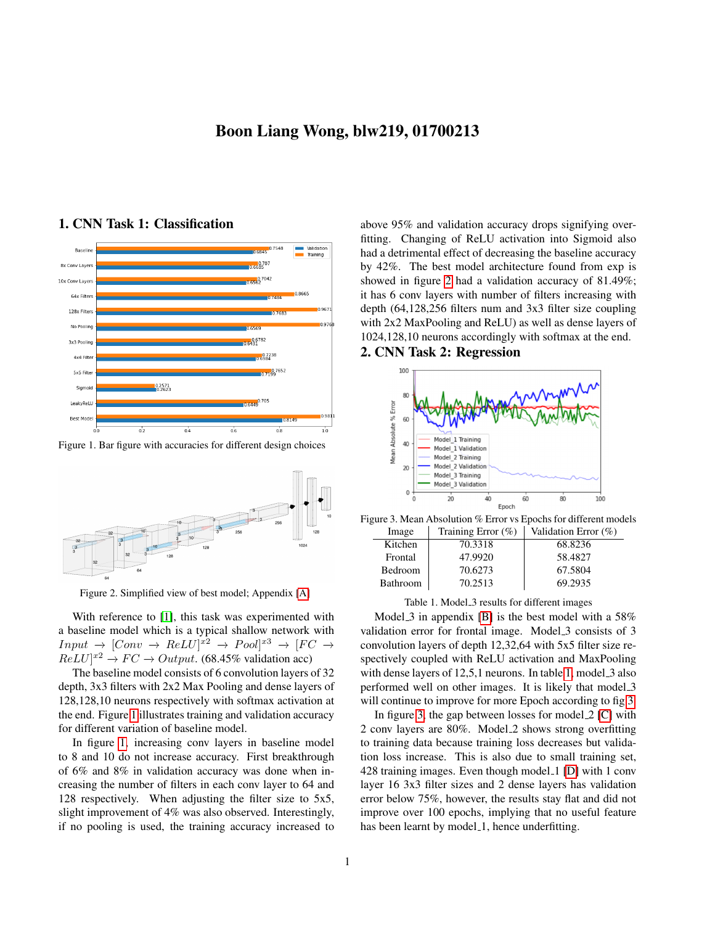# Boon Liang Wong, blw219, 01700213

#### **Wildatio** Baselin Training 8x Conv Laye 10x Conv Laye 128x Filter No Pool  $10.6782$ 3x3 Pooli  $4x4$  Fi  $0.7238$ 5x5 Filte  $\frac{0.2571}{0.262}$ Sign LeakyReL  $\overline{10}$

### 1. CNN Task 1: Classification

<span id="page-0-0"></span>Figure 1. Bar figure with accuracies for different design choices



<span id="page-0-1"></span>Figure 2. Simplified view of best model; Appendix [\[A\]](#page-1-0)

With reference to [\[1\]](#page-1-1), this task was experimented with a baseline model which is a typical shallow network with  $Input \rightarrow [Conv \rightarrow ReLU]^{x2} \rightarrow Pool]^{x3} \rightarrow [FC \rightarrow$  $ReLU^{x2} \rightarrow FC \rightarrow Output.$  (68.45% validation acc)

The baseline model consists of 6 convolution layers of 32 depth, 3x3 filters with 2x2 Max Pooling and dense layers of 128,128,10 neurons respectively with softmax activation at the end. Figure [1](#page-0-0) illustrates training and validation accuracy for different variation of baseline model.

In figure [1,](#page-0-0) increasing conv layers in baseline model to 8 and 10 do not increase accuracy. First breakthrough of 6% and 8% in validation accuracy was done when increasing the number of filters in each conv layer to 64 and 128 respectively. When adjusting the filter size to 5x5, slight improvement of 4% was also observed. Interestingly, if no pooling is used, the training accuracy increased to

above 95% and validation accuracy drops signifying overfitting. Changing of ReLU activation into Sigmoid also had a detrimental effect of decreasing the baseline accuracy by 42%. The best model architecture found from exp is showed in figure [2](#page-0-1) had a validation accuracy of 81.49%; it has 6 conv layers with number of filters increasing with depth (64,128,256 filters num and 3x3 filter size coupling with 2x2 MaxPooling and ReLU) as well as dense layers of 1024,128,10 neurons accordingly with softmax at the end.

#### 2. CNN Task 2: Regression





<span id="page-0-3"></span>

| Training Error $(\%)$ | Validation Error $(\%)$ |
|-----------------------|-------------------------|
| 70.3318               | 68.8236                 |
| 47.9920               | 58.4827                 |
| 70.6273               | 67.5804                 |
| 70.2513               | 69.2935                 |
|                       |                         |

<span id="page-0-2"></span>Table 1. Model\_3 results for different images

Model  $3$  in appendix [\[B\]](#page-1-2) is the best model with a 58% validation error for frontal image. Model 3 consists of 3 convolution layers of depth 12,32,64 with 5x5 filter size respectively coupled with ReLU activation and MaxPooling with dense layers of 12,5,1 neurons. In table [1,](#page-0-2) model 3 also performed well on other images. It is likely that model 3 will continue to improve for more Epoch according to fig [3.](#page-0-3)

In figure [3,](#page-0-3) the gap between losses for model  $2$  [\[C\]](#page-1-3) with 2 conv layers are 80%. Model 2 shows strong overfitting to training data because training loss decreases but validation loss increase. This is also due to small training set, 428 training images. Even though model 1 [\[D\]](#page-1-4) with 1 conv layer 16 3x3 filter sizes and 2 dense layers has validation error below 75%, however, the results stay flat and did not improve over 100 epochs, implying that no useful feature has been learnt by model\_1, hence underfitting.